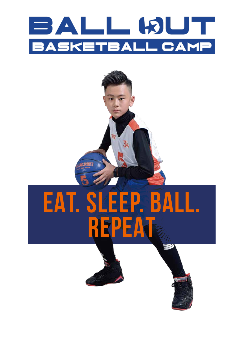## BALL BUT **BASKETBALL CAMP**

# **EAT. SLEEP. BALL. REPEAT**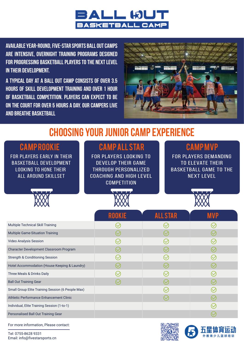

**Available year-round, Five-Star sports Ball Out Camps are intensive, overnight training programs designed for progressing basketball players to the next level in their development.** 

**A typical day at a Ball Out Camp consists of over 3.5 hours of skill development training and over 1 hour of basketball competition. Players can expect to be on the court for over 5 hours a day. Our campers live and breathe basketball**



#### **CHOOSING YOUR JUNIOR CAMP EXPERIENCE**

| <b>CAMPROOKIE</b><br><b>FOR PLAYERS EARLY IN THEIR</b><br><b>BASKETBALL DEVELOPMENT</b><br><b>LOOKING TO HONE THEIR</b><br><b>ALL AROUND SKILLSET</b> | <b>CAMPALL STAR</b><br><b>FOR PLAYERS LOOKING TO</b><br><b>DEVELOP THEIR GAME</b><br><b>THROUGH PERSONALIZED</b><br><b>COACHING AND HIGH LEVEL</b><br><b>COMPETITION</b> |                          | <b>CAMPMVP</b><br><b>FOR PLAYERS DEMANDING</b><br><b>TO ELEVATE THEIR</b><br><b>BASKETBALL GAME TO THE</b><br><b>NEXT LEVEL</b> |  |  |
|-------------------------------------------------------------------------------------------------------------------------------------------------------|--------------------------------------------------------------------------------------------------------------------------------------------------------------------------|--------------------------|---------------------------------------------------------------------------------------------------------------------------------|--|--|
|                                                                                                                                                       |                                                                                                                                                                          |                          |                                                                                                                                 |  |  |
|                                                                                                                                                       | ROOKIE                                                                                                                                                                   | <b>ALL STAR</b>          | <b>MVP</b>                                                                                                                      |  |  |
| Multiple Technical Skill Training                                                                                                                     | $\bigcirc$                                                                                                                                                               | $\small\bigtriangledown$ |                                                                                                                                 |  |  |
| <b>Multiple Game-Situation Training</b>                                                                                                               | $\heartsuit$                                                                                                                                                             |                          |                                                                                                                                 |  |  |
| <b>Video Analysis Session</b>                                                                                                                         | $\heartsuit$                                                                                                                                                             |                          |                                                                                                                                 |  |  |
| Character Development Classroom Program                                                                                                               | $\bigcirc$                                                                                                                                                               |                          |                                                                                                                                 |  |  |
| <b>Strength &amp; Conditioning Session</b>                                                                                                            | $\bigcirc$                                                                                                                                                               | $\bigcirc$               |                                                                                                                                 |  |  |
| Hotel Accommodation (House Keeping & Laundry)                                                                                                         |                                                                                                                                                                          |                          |                                                                                                                                 |  |  |
| Three Meals & Drinks Daily                                                                                                                            |                                                                                                                                                                          |                          |                                                                                                                                 |  |  |
| <b>Ball Out Training Gear</b>                                                                                                                         |                                                                                                                                                                          |                          |                                                                                                                                 |  |  |
| Small Group Elite Training Session (6 People Max)                                                                                                     |                                                                                                                                                                          | $\left(\!\vee\!\right)$  |                                                                                                                                 |  |  |
| Athletic Performance Enhancement Clinic                                                                                                               |                                                                                                                                                                          |                          |                                                                                                                                 |  |  |
| Individual, Elite Training Session (1-to-1)                                                                                                           |                                                                                                                                                                          |                          |                                                                                                                                 |  |  |
| Personalised Ball Out Training Gear                                                                                                                   |                                                                                                                                                                          |                          | $\rm \bigcirc$                                                                                                                  |  |  |

For more information, Please contact:

Tel: 0755-8628 9331 Email: info@fivestarsports.cn



外教青少儿篮球培训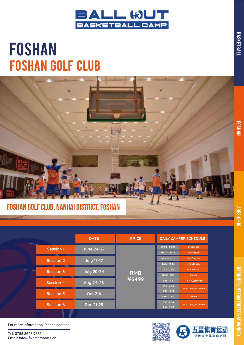

### FOSHAN Foshan Golf Club



|                  | <b>DATE</b>                          | <b>PRICE</b>                |                                 | <b>DAILY CAMPER SCHEDULE</b>                     |
|------------------|--------------------------------------|-----------------------------|---------------------------------|--------------------------------------------------|
| <b>Session 1</b> | <b>June 24-27</b>                    |                             | $08:00 - 08:45$                 | <b>Breakfast</b><br><b>1st Station</b>           |
| <b>Session 2</b> | <b>July 13-17</b>                    |                             | $09:45 - 10:10$                 | 2nd Station                                      |
| <b>Session 3</b> | <b>July 20-24</b>                    |                             | 11:15 -12:00                    | <b>3rd Station</b><br><b>Skill Session</b>       |
|                  |                                      | ¥6499                       | $12:00 - 1:00$<br>$2:45 - 3:15$ | Lunch<br>4 x 4 Cutthroat                         |
|                  |                                      |                             | $3:30 - 4:30$<br>$4:30 - 5:30$  | <b>Camp League Games</b>                         |
|                  |                                      |                             | $6:00 - 7:00$                   | <b>Dinner</b>                                    |
| <b>Session 6</b> | Dec 21-25                            |                             | $8:30 - 9:30$                   | <b>Camp League Games</b>                         |
|                  | <b>Session 4</b><br><b>Session 5</b> | Aug 24-28<br><b>Oct 2-6</b> | <b>RMB</b>                      | $09:15 - 09:45$<br>10:15 -10:45<br>$7:30 - 8:30$ |

For more information, Please contact:

Tel: 0755-8628 9331 Email: info@fivestarsports.cn





BEGINNER, INTERMEDIATE & ADVANCED

**BEGINNER, INTERMEDIATE & ADVANCED** 

BASKETBALL

**BASKETBALL**